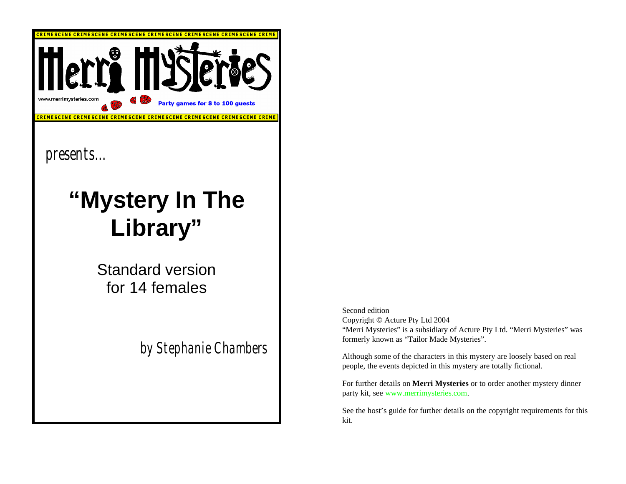

Standard version for 14 females

*by Stephanie Chambers*

Second edition Copyright © Acture Pty Ltd 2004 "Merri Mysteries" is a subsidiary of Acture Pty Ltd. "Merri Mysteries" was formerly known as "Tailor Made Mysteries".

Although some of the characters in this mystery are loosely based on real people, the events depicted in this mystery are totally fictional.

For further details on **Merri Mysteries** or to order another mystery dinner party kit, see www.merrimysteries.com.

See the host's guide for further details on the copyright requirements for this kit.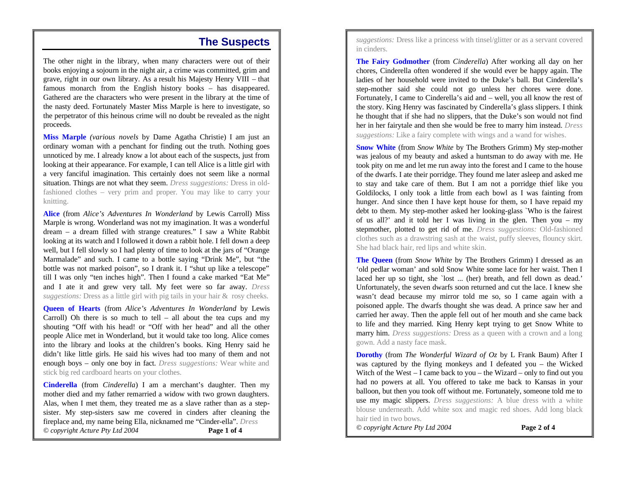#### **The Suspects**

The other night in the library, when many characters were out of their books enjoying a sojourn in the night air, a crime was committed, grim and grave, right in our own library. As a result his Majesty Henry VIII – that famous monarch from the English history books – has disappeared. Gathered are the characters who were present in the library at the time of the nasty deed. Fortunately Master Miss Marple is here to investigate, so the perpetrator of this heinous crime will no doubt be revealed as the night proceeds.

**Miss Marple** *(various novels* by Dame Agatha Christie) I am just an ordinary woman with a penchant for finding out the truth. Nothing goes unnoticed by me. I already know a lot about each of the suspects, just from looking at their appearance. For example, I can tell Alice is a little girl with a very fanciful imagination. This certainly does not seem like a normal situation. Things are not what they seem. *Dress suggestions:* Dress in oldfashioned clothes – very prim and proper. You may like to carry your knitting.

**Alice** (from *Alice's Adventures In Wonderland* by Lewis Carroll) Miss Marple is wrong. Wonderland was not my imagination. It was a wonderful dream – a dream filled with strange creatures." I saw a White Rabbit looking at its watch and I followed it down a rabbit hole. I fell down a deep well, but I fell slowly so I had plenty of time to look at the jars of "Orange Marmalade" and such. I came to a bottle saying "Drink Me", but "the bottle was not marked poison", so I drank it. I "shut up like a telescope" till I was only "ten inches high". Then I found a cake marked "Eat Me" and I ate it and grew very tall. My feet were so far away. *Dress suggestions:* Dress as a little girl with pig tails in your hair & rosy cheeks.

**Queen of Hearts** (from *Alice's Adventures In Wonderland* by Lewis Carroll) Oh there is so much to tell – all about the tea cups and my shouting "Off with his head! or "Off with her head" and all the other people Alice met in Wonderland, but it would take too long. Alice comes into the library and looks at the children's books. King Henry said he didn't like little girls. He said his wives had too many of them and not enough boys – only one boy in fact. *Dress suggestions:* Wear white and stick big red cardboard hearts on your clothes.

**Cinderella** (from *Cinderella*) I am a merchant's daughter. Then my mother died and my father remarried a widow with two grown daughters. Alas, when I met them, they treated me as a slave rather than as a stepsister. My step-sisters saw me covered in cinders after cleaning the fireplace and, my name being Ella, nicknamed me "Cinder-ella". *Dress © copyright Acture Pty Ltd 2004* **Page 1 of 4**

*suggestions:* Dress like a princess with tinsel/glitter or as a servant covered in cinders.

**The Fairy Godmother** (from *Cinderella*) After working all day on her chores, Cinderella often wondered if she would ever be happy again. The ladies of her household were invited to the Duke's ball. But Cinderella's step-mother said she could not go unless her chores were done. Fortunately, I came to Cinderella's aid and – well, you all know the rest of the story. King Henry was fascinated by Cinderella's glass slippers. I think he thought that if she had no slippers, that the Duke's son would not find her in her fairytale and then she would be free to marry him instead. *Dress suggestions:* Like a fairy complete with wings and a wand for wishes.

**Snow White** (from *Snow White* by The Brothers Grimm) My step-mother was jealous of my beauty and asked a huntsman to do away with me. He took pity on me and let me run away into the forest and I came to the house of the dwarfs. I ate their porridge. They found me later asleep and asked me to stay and take care of them. But I am not a porridge thief like you Goldilocks, I only took a little from each bowl as I was fainting from hunger. And since then I have kept house for them, so I have repaid my debt to them. My step-mother asked her looking-glass `Who is the fairest of us all?' and it told her I was living in the glen. Then you – my stepmother, plotted to get rid of me. *Dress suggestions:* Old-fashioned clothes such as a drawstring sash at the waist, puffy sleeves, flouncy skirt. She had black hair, red lips and white skin.

**The Queen** (from *Snow White* by The Brothers Grimm) I dressed as an 'old pedlar woman' and sold Snow White some lace for her waist. Then I laced her up so tight, she 'lost ... (her) breath, and fell down as dead.' Unfortunately, the seven dwarfs soon returned and cut the lace. I knew she wasn't dead because my mirror told me so, so I came again with a poisoned apple. The dwarfs thought she was dead. A prince saw her and carried her away. Then the apple fell out of her mouth and she came back to life and they married. King Henry kept trying to get Snow White to marry him. *Dress suggestions:* Dress as a queen with a crown and a long gown. Add a nasty face mask.

**Dorothy** (from *The Wonderful Wizard of Oz* by L Frank Baum) After I was captured by the flying monkeys and I defeated you – the Wicked Witch of the West  $- I$  came back to you  $-$  the Wizard  $-$  only to find out you had no powers at all. You offered to take me back to Kansas in your balloon, but then you took off without me. Fortunately, someone told me to use my magic slippers. *Dress suggestions:* A blue dress with a white blouse underneath. Add white sox and magic red shoes. Add long black hair tied in two bows.

*© copyright Acture Pty Ltd 2004* **Page 2 of 4**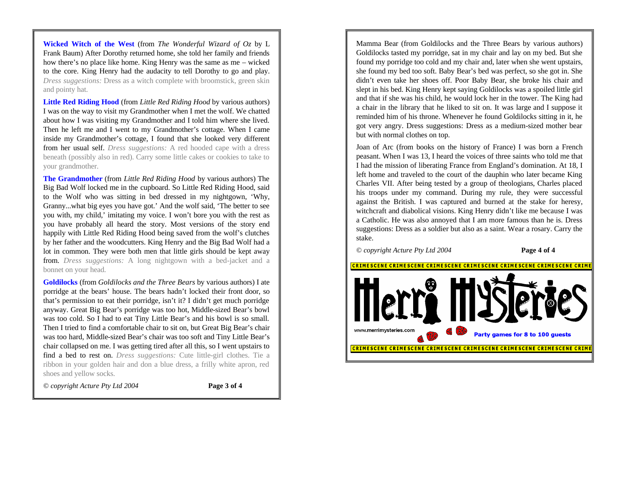**Wicked Witch of the West** (from *The Wonderful Wizard of Oz* by L Frank Baum) After Dorothy returned home, she told her family and friends how there's no place like home. King Henry was the same as me – wicked to the core. King Henry had the audacity to tell Dorothy to go and play. *Dress suggestions:* Dress as a witch complete with broomstick, green skin and pointy hat.

**Little Red Riding Hood** (from *Little Red Riding Hood* by various authors) I was on the way to visit my Grandmother when I met the wolf. We chatted about how I was visiting my Grandmother and I told him where she lived. Then he left me and I went to my Grandmother's cottage. When I came inside my Grandmother's cottage, I found that she looked very different from her usual self. *Dress suggestions:* A red hooded cape with a dress beneath (possibly also in red). Carry some little cakes or cookies to take to your grandmother.

**The Grandmother** (from *Little Red Riding Hood* by various authors) The Big Bad Wolf locked me in the cupboard. So Little Red Riding Hood, said to the Wolf who was sitting in bed dressed in my nightgown, 'Why, Granny...what big eyes you have got.' And the wolf said, 'The better to see you with, my child,' imitating my voice. I won't bore you with the rest as you have probably all heard the story. Most versions of the story end happily with Little Red Riding Hood being saved from the wolf's clutches by her father and the woodcutters. King Henry and the Big Bad Wolf had a lot in common. They were both men that little girls should be kept away from. *Dress suggestions:* A long nightgown with a bed-jacket and a bonnet on your head.

**Goldilocks** (from *Goldilocks and the Three Bears* by various authors) I ate porridge at the bears' house. The bears hadn't locked their front door, so that's permission to eat their porridge, isn't it? I didn't get much porridge anyway. Great Big Bear's porridge was too hot, Middle-sized Bear's bowl was too cold. So I had to eat Tiny Little Bear's and his bowl is so small. Then I tried to find a comfortable chair to sit on, but Great Big Bear's chair was too hard, Middle-sized Bear's chair was too soft and Tiny Little Bear's chair collapsed on me. I was getting tired after all this, so I went upstairs to find a bed to rest on. *Dress suggestions:* Cute little-girl clothes. Tie a ribbon in your golden hair and don a blue dress, a frilly white apron, red shoes and yellow socks.

*© copyright Acture Pty Ltd 2004* **Page 3 of 4**

Mamma Bear (from Goldilocks and the Three Bears by various authors) Goldilocks tasted my porridge, sat in my chair and lay on my bed. But she found my porridge too cold and my chair and, later when she went upstairs, she found my bed too soft. Baby Bear's bed was perfect, so she got in. She didn't even take her shoes off. Poor Baby Bear, she broke his chair and slept in his bed. King Henry kept saying Goldilocks was a spoiled little girl and that if she was his child, he would lock her in the tower. The King had a chair in the library that he liked to sit on. It was large and I suppose it reminded him of his throne. Whenever he found Goldilocks sitting in it, he got very angry. Dress suggestions: Dress as a medium-sized mother bear but with normal clothes on top.

Joan of Arc (from books on the history of France) I was born a French peasant. When I was 13, I heard the voices of three saints who told me that I had the mission of liberating France from England's domination. At 18, I left home and traveled to the court of the dauphin who later became King Charles VII. After being tested by a group of theologians, Charles placed his troops under my command. During my rule, they were successful against the British. I was captured and burned at the stake for heresy, witchcraft and diabolical visions. King Henry didn't like me because I was a Catholic. He was also annoyed that I am more famous than he is. Dress suggestions: Dress as a soldier but also as a saint. Wear a rosary. Carry the stake.

*© copyright Acture Pty Ltd 2004* **Page 4 of 4**

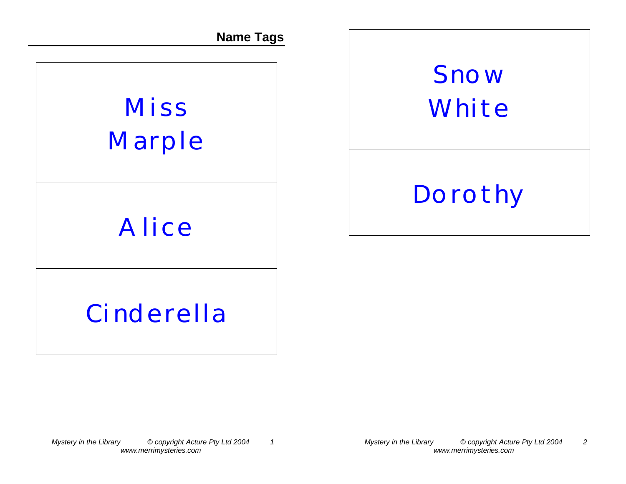**Name Tags**

# **Miss Marple**

## **Alice**

# **Snow White**

## **Dorothy**

## **Cinderella**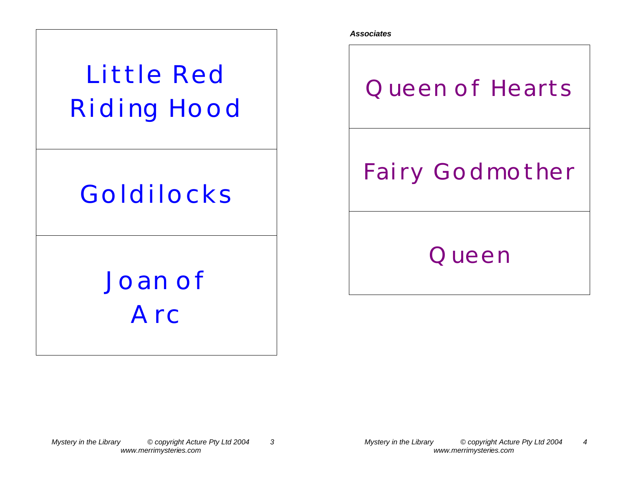

**Queen of Hearts**

*Associates*

## **Fairy Godmother**

#### **Queen**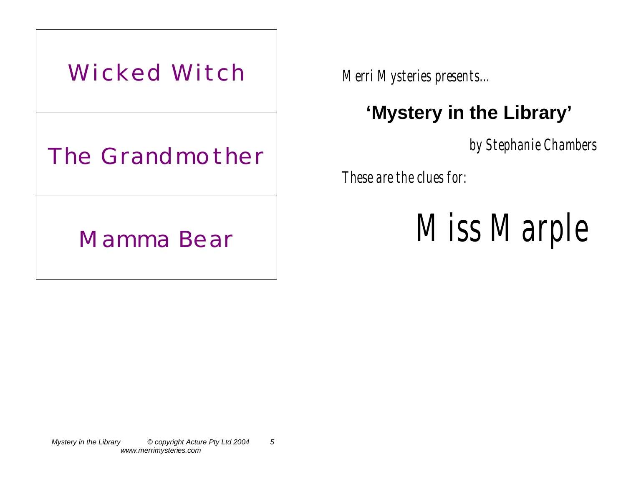

*Merri Mysteries presents...* 

## **'Mystery in the Library'**

*by Stephanie Chambers*

*These are the clues for:*

 *Miss Marple*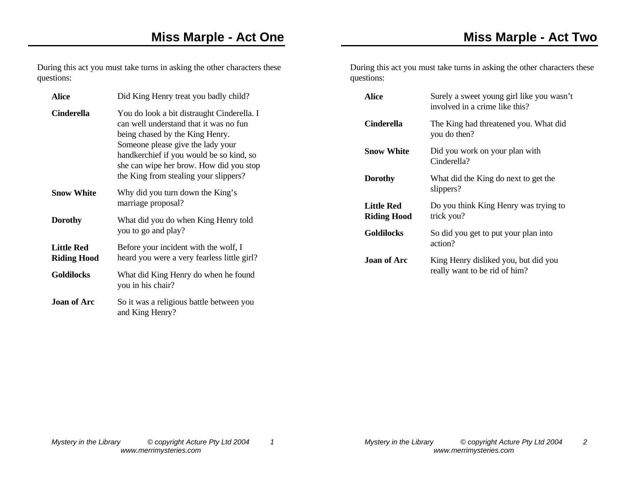During this act you must take turns in asking the other characters these

During this act you must take turns in asking the other characters these questions:

| <b>Alice</b>       | Did King Henry treat you badly child?                                                                                                                                                                                                                                                        | <b>Alice</b>       | Surely a sweet young girl like you wasn't<br>involved in a crime like this? |
|--------------------|----------------------------------------------------------------------------------------------------------------------------------------------------------------------------------------------------------------------------------------------------------------------------------------------|--------------------|-----------------------------------------------------------------------------|
| <b>Cinderella</b>  | You do look a bit distraught Cinderella. I<br>can well understand that it was no fun<br>being chased by the King Henry.<br>Someone please give the lady your<br>handkerchief if you would be so kind, so<br>she can wipe her brow. How did you stop<br>the King from stealing your slippers? | <b>Cinderella</b>  | The King had threatened you. What did<br>you do then?                       |
|                    |                                                                                                                                                                                                                                                                                              | <b>Snow White</b>  | Did you work on your plan with<br>Cinderella?                               |
|                    |                                                                                                                                                                                                                                                                                              | <b>Dorothy</b>     | What did the King do next to get the                                        |
| <b>Snow White</b>  | Why did you turn down the King's<br>marriage proposal?                                                                                                                                                                                                                                       | <b>Little Red</b>  | slippers?<br>Do you think King Henry was trying to                          |
| <b>Dorothy</b>     | What did you do when King Henry told<br>you to go and play?                                                                                                                                                                                                                                  | <b>Riding Hood</b> | trick you?                                                                  |
|                    |                                                                                                                                                                                                                                                                                              | <b>Goldilocks</b>  | So did you get to put your plan into                                        |
| <b>Little Red</b>  | Before your incident with the wolf, I                                                                                                                                                                                                                                                        |                    | action?                                                                     |
| <b>Riding Hood</b> | heard you were a very fearless little girl?                                                                                                                                                                                                                                                  | <b>Joan of Arc</b> | King Henry disliked you, but did you                                        |
| <b>Goldilocks</b>  | What did King Henry do when he found<br>you in his chair?                                                                                                                                                                                                                                    |                    | really want to be rid of him?                                               |
| Joan of Arc        | So it was a religious battle between you<br>and King Henry?                                                                                                                                                                                                                                  |                    |                                                                             |

questions: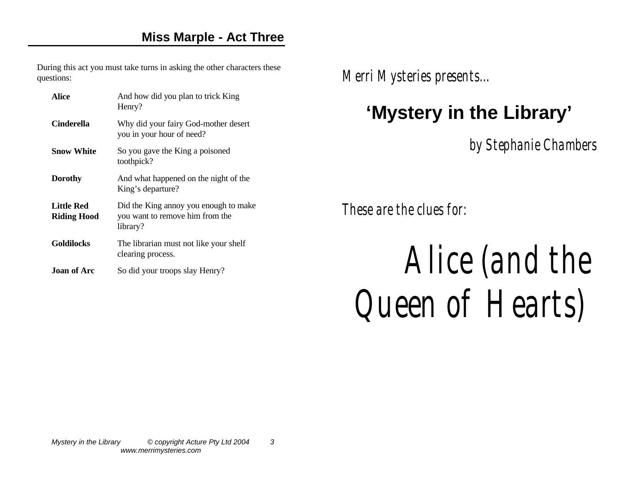During this act you must take turns in asking the other characters these questions:

| Alice                                   | And how did you plan to trick King<br>Henry?                                         |
|-----------------------------------------|--------------------------------------------------------------------------------------|
| Cinderella                              | Why did your fairy God-mother desert<br>you in your hour of need?                    |
| <b>Snow White</b>                       | So you gave the King a poisoned<br>toothpick?                                        |
| Dorothy                                 | And what happened on the night of the<br>King's departure?                           |
| <b>Little Red</b><br><b>Riding Hood</b> | Did the King annoy you enough to make<br>you want to remove him from the<br>library? |
| <b>Goldilocks</b>                       | The librarian must not like your shelf<br>clearing process.                          |
| <b>Joan of Arc</b>                      | So did your troops slay Henry?                                                       |

*Merri Mysteries presents...* 

#### **'Mystery in the Library'**

*by Stephanie Chambers*

*These are the clues for:*

# *Alice (and the Queen of Hearts)*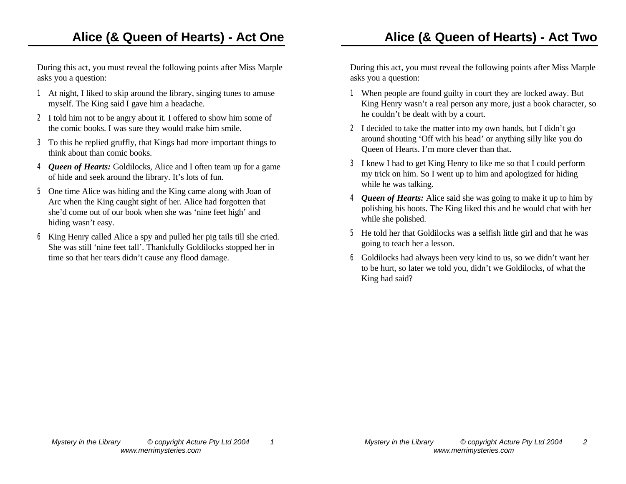During this act, you must reveal the following points after Miss Marple asks you a question:

- 1 At night, I liked to skip around the library, singing tunes to amuse myself. The King said I gave him a headache.
- 2 I told him not to be angry about it. I offered to show him some of the comic books. I was sure they would make him smile.
- 3 To this he replied gruffly, that Kings had more important things to think about than comic books.
- 4 *Queen of Hearts:* Goldilocks, Alice and I often team up for a game of hide and seek around the library. It's lots of fun.
- 5 One time Alice was hiding and the King came along with Joan of Arc when the King caught sight of her. Alice had forgotten that she'd come out of our book when she was 'nine feet high' and hiding wasn't easy.
- 6 King Henry called Alice a spy and pulled her pig tails till she cried. She was still 'nine feet tall'. Thankfully Goldilocks stopped her in time so that her tears didn't cause any flood damage.

During this act, you must reveal the following points after Miss Marple asks you a question:

- 1 When people are found guilty in court they are locked away. But King Henry wasn't a real person any more, just a book character, so he couldn't be dealt with by a court.
- 2 I decided to take the matter into my own hands, but I didn't go around shouting 'Off with his head' or anything silly like you do Queen of Hearts. I'm more clever than that.
- 3 I knew I had to get King Henry to like me so that I could perform my trick on him. So I went up to him and apologized for hiding while he was talking.
- 4 *Queen of Hearts:* Alice said she was going to make it up to him by polishing his boots. The King liked this and he would chat with her while she polished.
- 5 He told her that Goldilocks was a selfish little girl and that he was going to teach her a lesson.
- 6 Goldilocks had always been very kind to us, so we didn't want her to be hurt, so later we told you, didn't we Goldilocks, of what the King had said?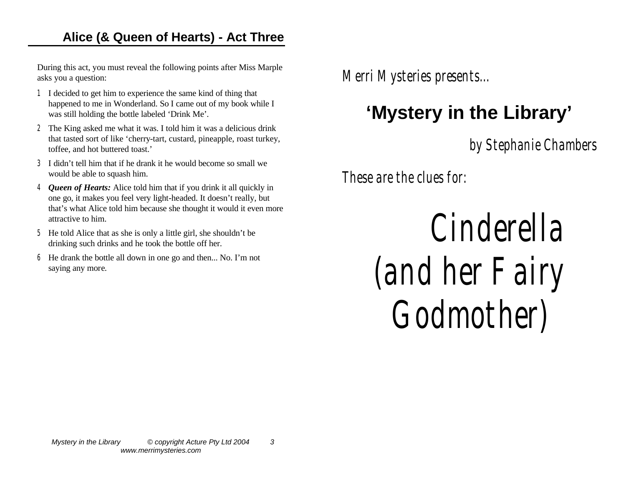#### **Alice (& Queen of Hearts) - Act Three**

During this act, you must reveal the following points after Miss Marple asks you a question:

- 1 I decided to get him to experience the same kind of thing that happened to me in Wonderland. So I came out of my book while I was still holding the bottle labeled 'Drink Me'.
- 2 The King asked me what it was. I told him it was a delicious drink that tasted sort of like 'cherry-tart, custard, pineapple, roast turkey, toffee, and hot buttered toast.'
- 3 I didn't tell him that if he drank it he would become so small we would be able to squash him.
- 4 *Queen of Hearts:* Alice told him that if you drink it all quickly in one go, it makes you feel very light-headed. It doesn't really, but that's what Alice told him because she thought it would it even more attractive to him.
- 5 He told Alice that as she is only a little girl, she shouldn't be drinking such drinks and he took the bottle off her.
- 6 He drank the bottle all down in one go and then... No. I'm not saying any more.

*Merri Mysteries presents...* 

### **'Mystery in the Library'**

*by Stephanie Chambers*

*These are the clues for:*

*Cinderella (and her Fairy Godmother)*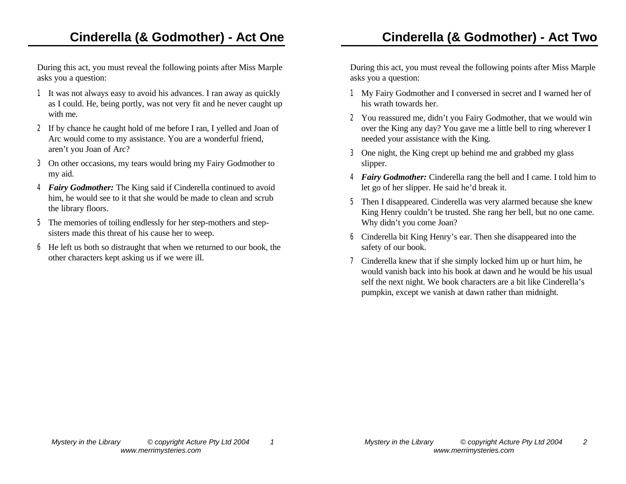During this act, you must reveal the following points after Miss Marple asks you a question:

- 1 It was not always easy to avoid his advances. I ran away as quickly as I could. He, being portly, was not very fit and he never caught up with me.
- 2 If by chance he caught hold of me before I ran, I yelled and Joan of Arc would come to my assistance. You are a wonderful friend, aren't you Joan of Arc?
- 3 On other occasions, my tears would bring my Fairy Godmother to my aid.
- 4 *Fairy Godmother:* The King said if Cinderella continued to avoid him, he would see to it that she would be made to clean and scrub the library floors.
- 5 The memories of toiling endlessly for her step-mothers and stepsisters made this threat of his cause her to weep.
- 6 He left us both so distraught that when we returned to our book, the other characters kept asking us if we were ill.

#### **Cinderella (& Godmother) - Act Two**

During this act, you must reveal the following points after Miss Marple asks you a question:

- 1 My Fairy Godmother and I conversed in secret and I warned her of his wrath towards her.
- 2 You reassured me, didn't you Fairy Godmother, that we would win over the King any day? You gave me a little bell to ring wherever I needed your assistance with the King.
- 3 One night, the King crept up behind me and grabbed my glass slipper.
- 4 *Fairy Godmother:* Cinderella rang the bell and I came. I told him to let go of her slipper. He said he'd break it.
- 5 Then I disappeared. Cinderella was very alarmed because she knew King Henry couldn't be trusted. She rang her bell, but no one came. Why didn't you come Joan?
- 6 Cinderella bit King Henry's ear. Then she disappeared into the safety of our book.
- 7 Cinderella knew that if she simply locked him up or hurt him, he would vanish back into his book at dawn and he would be his usual self the next night. We book characters are a bit like Cinderella's pumpkin, except we vanish at dawn rather than midnight.